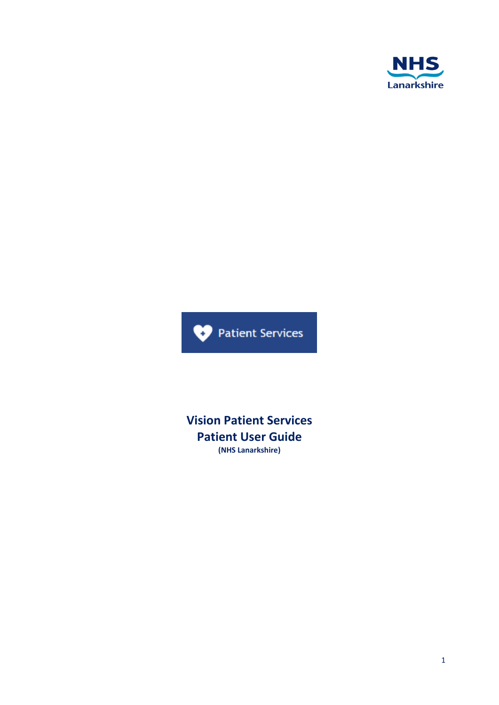



**Vision Patient Services Patient User Guide (NHS Lanarkshire)**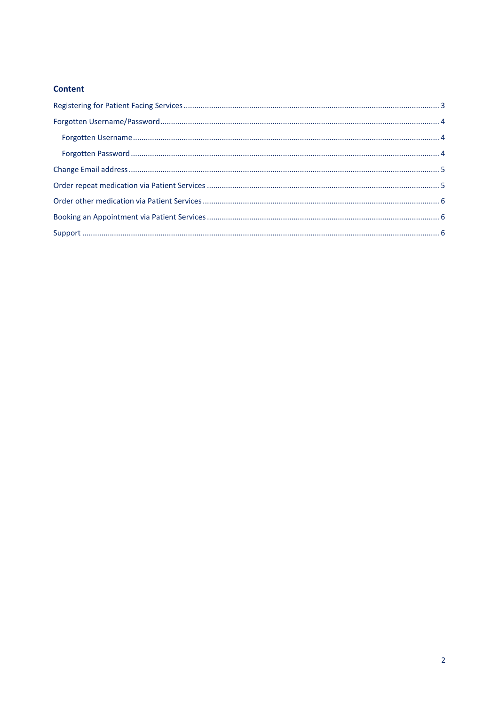### **Content**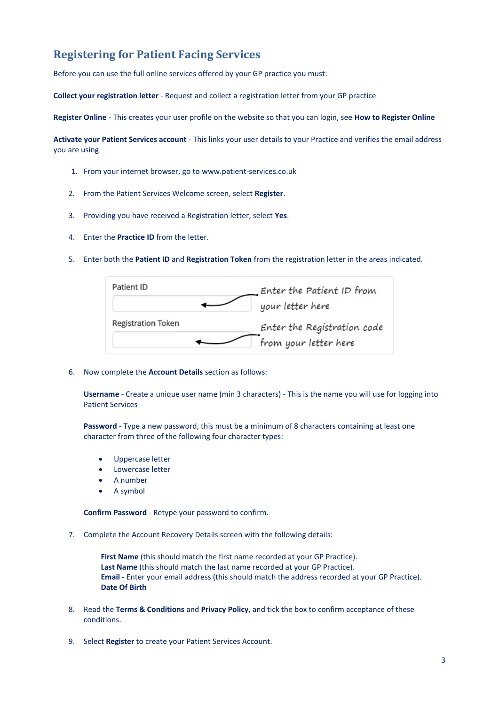# <span id="page-2-0"></span>**Registering for Patient Facing Services**

Before you can use the full online services offered by your GP practice you must:

**Collect your registration letter** - Request and collect a registration letter from your GP practice

**Register Online** - This creates your user profile on the website so that you can login, see **How to Register Online**

**Activate your Patient Services account** - This links your user details to your Practice and verifies the email address you are using

- 1. From your internet browser, go to [www.patient-services.co.uk](http://www.patient-services.co.uk/)
- 2. From the Patient Services Welcome screen, select **Register**.
- 3. Providing you have received a Registration letter, select **Yes**.
- 4. Enter the **Practice ID** from the letter.
- 5. Enter both the **Patient ID** and **Registration Token** from the registration letter in the areas indicated.



6. Now complete the **Account Details** section as follows:

**Username** - Create a unique user name (min 3 characters) - This is the name you will use for logging into Patient Services

**Password** - Type a new password, this must be a minimum of 8 characters containing at least one character from three of the following four character types:

- Uppercase letter
- Lowercase letter
- A number
- A symbol

**Confirm Password** - Retype your password to confirm.

7. Complete the Account Recovery Details screen with the following details:

**First Name** (this should match the first name recorded at your GP Practice). **Last Name** (this should match the last name recorded at your GP Practice). **Email** - Enter your email address (this should match the address recorded at your GP Practice). **Date Of Birth**

- 8. Read the **Terms & Conditions** and **Privacy Policy**, and tick the box to confirm acceptance of these conditions.
- 9. Select **Register** to create your Patient Services Account.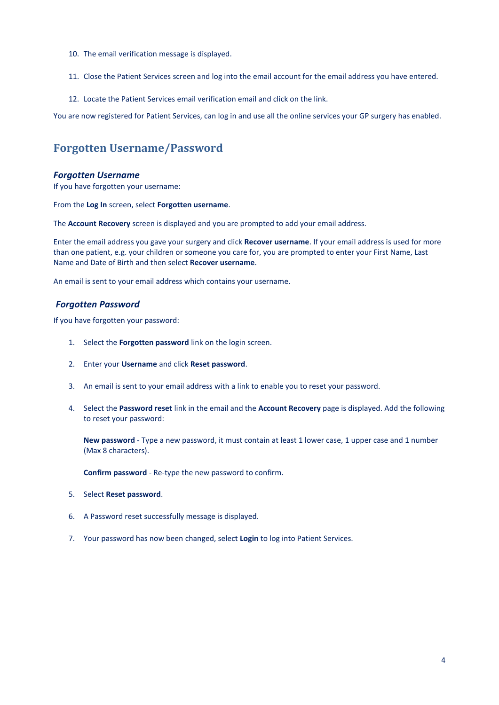- 10. The email verification message is displayed.
- 11. Close the Patient Services screen and log into the email account for the email address you have entered.
- 12. Locate the Patient Services email verification email and click on the link.

You are now registered for Patient Services, can log in and use all the online services your GP surgery has enabled.

## <span id="page-3-0"></span>**Forgotten Username/Password**

#### <span id="page-3-1"></span>*Forgotten Username*

If you have forgotten your username:

From the **Log In** screen, select **Forgotten username**.

The **Account Recovery** screen is displayed and you are prompted to add your email address.

Enter the email address you gave your surgery and click **Recover username**. If your email address is used for more than one patient, e.g. your children or someone you care for, you are prompted to enter your First Name, Last Name and Date of Birth and then select **Recover username**.

An email is sent to your email address which contains your username.

#### <span id="page-3-2"></span>*Forgotten Password*

If you have forgotten your password:

- 1. Select the **Forgotten password** link on the login screen.
- 2. Enter your **Username** and click **Reset password**.
- 3. An email is sent to your email address with a link to enable you to reset your password.
- 4. Select the **Password reset** link in the email and the **Account Recovery** page is displayed. Add the following to reset your password:

**New password** - Type a new password, it must contain at least 1 lower case, 1 upper case and 1 number (Max 8 characters).

**Confirm password** - Re-type the new password to confirm.

- 5. Select **Reset password**.
- 6. A Password reset successfully message is displayed.
- 7. Your password has now been changed, select **Login** to log into Patient Services.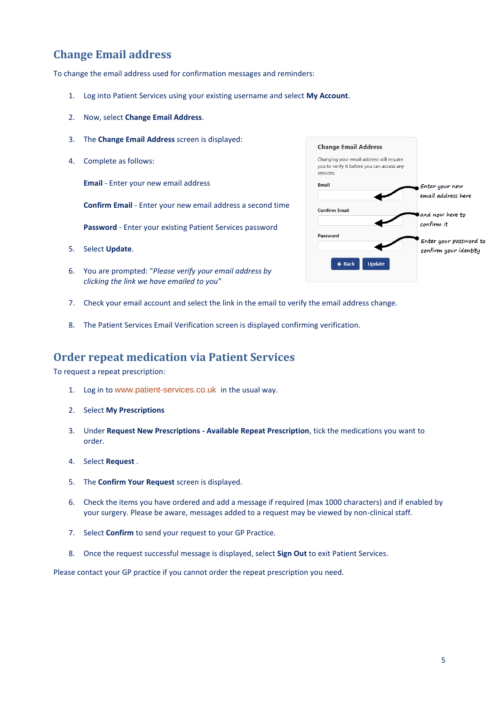# <span id="page-4-0"></span>**Change Email address**

To change the email address used for confirmation messages and reminders:

- 1. Log into Patient Services using your existing username and select **My Account**.
- 2. Now, select **Change Email Address**.
- 3. The **Change Email Address** screen is displayed:
- 4. Complete as follows:

**Email** - Enter your new email address

**Confirm Email** - Enter your new email address a second time

**Password** - Enter your existing Patient Services password

- 5. Select **Update**.
- 6. You are prompted: "*Please verify your email address by clicking the link we have emailed to you*"
- 7. Check your email account and select the link in the email to verify the email address change.
- 8. The Patient Services Email Verification screen is displayed confirming verification.

### <span id="page-4-1"></span>**Order repeat medication via Patient Services**

To request a repeat prescription:

- 1. Log in to [www.patient-services.co.uk](https://www.patient-services.co.uk/) in the usual way.
- 2. Select **My Prescriptions**
- 3. Under **Request New Prescriptions - Available Repeat Prescription**, tick the medications you want to order.
- 4. Select **Request** .
- 5. The **Confirm Your Request** screen is displayed.
- 6. Check the items you have ordered and add a message if required (max 1000 characters) and if enabled by your surgery. Please be aware, messages added to a request may be viewed by non-clinical staff.
- 7. Select **Confirm** to send your request to your GP Practice.
- 8. Once the request successful message is displayed, select **Sign Out** to exit Patient Services.

Please contact your GP practice if you cannot order the repeat prescription you need.